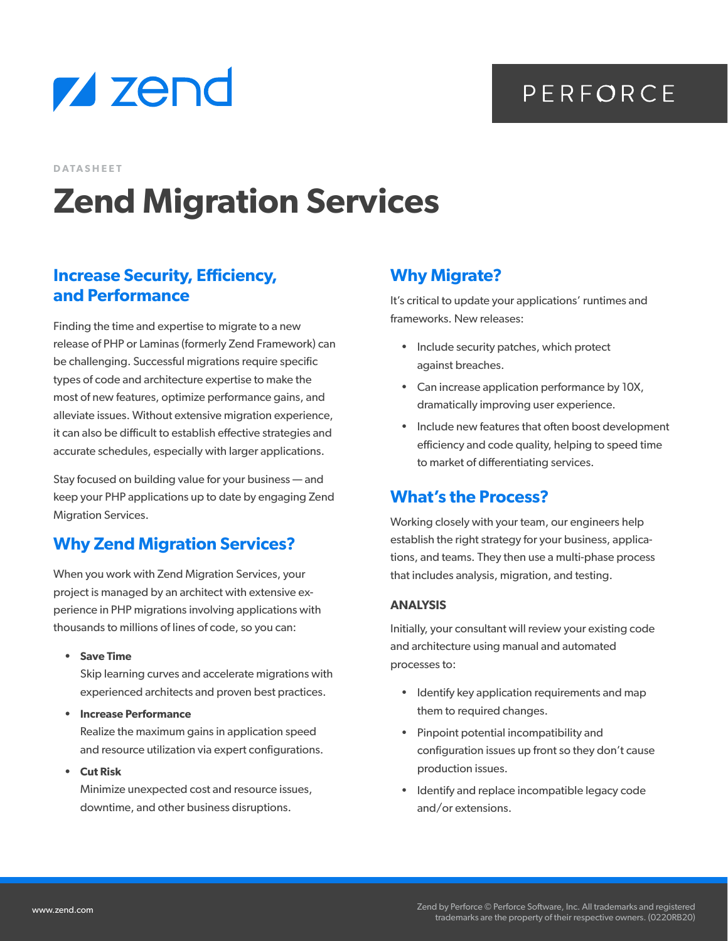

# PERFORCE

**DATASHEET**

# **Zend Migration Services**

#### **Increase Security, Efficiency, and Performance**

Finding the time and expertise to migrate to a new release of PHP or Laminas (formerly Zend Framework) can be challenging. Successful migrations require specific types of code and architecture expertise to make the most of new features, optimize performance gains, and alleviate issues. Without extensive migration experience, it can also be difficult to establish effective strategies and accurate schedules, especially with larger applications.

Stay focused on building value for your business — and keep your PHP applications up to date by engaging Zend Migration Services.

## **Why Zend Migration Services?**

When you work with Zend Migration Services, your project is managed by an architect with extensive experience in PHP migrations involving applications with thousands to millions of lines of code, so you can:

**• Save Time**

Skip learning curves and accelerate migrations with experienced architects and proven best practices.

**• Increase Performance** 

Realize the maximum gains in application speed and resource utilization via expert configurations.

**• Cut Risk**

Minimize unexpected cost and resource issues, downtime, and other business disruptions.

## **Why Migrate?**

It's critical to update your applications' runtimes and frameworks. New releases:

- Include security patches, which protect against breaches.
- Can increase application performance by 10X, dramatically improving user experience.
- Include new features that often boost development efficiency and code quality, helping to speed time to market of differentiating services.

#### **What's the Process?**

Working closely with your team, our engineers help establish the right strategy for your business, applications, and teams. They then use a multi-phase process that includes analysis, migration, and testing.

#### **ANALYSIS**

Initially, your consultant will review your existing code and architecture using manual and automated processes to:

- Identify key application requirements and map them to required changes.
- Pinpoint potential incompatibility and configuration issues up front so they don't cause production issues.
- Identify and replace incompatible legacy code and/or extensions.